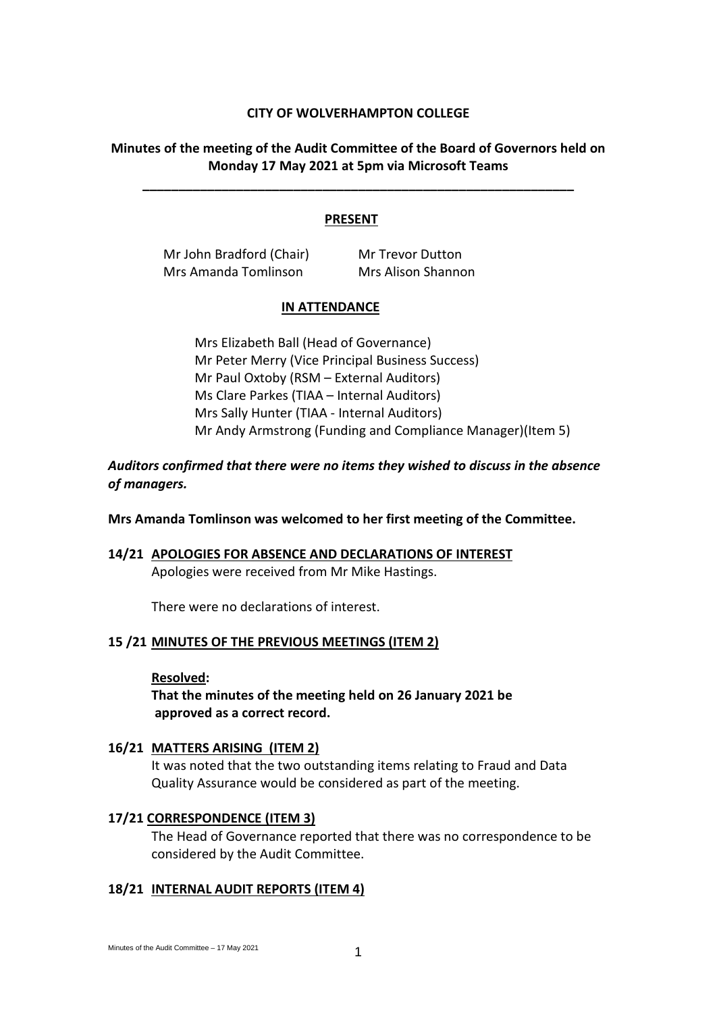## **CITY OF WOLVERHAMPTON COLLEGE**

## **Minutes of the meeting of the Audit Committee of the Board of Governors held on Monday 17 May 2021 at 5pm via Microsoft Teams**

**\_\_\_\_\_\_\_\_\_\_\_\_\_\_\_\_\_\_\_\_\_\_\_\_\_\_\_\_\_\_\_\_\_\_\_\_\_\_\_\_\_\_\_\_\_\_\_\_\_\_\_\_\_\_\_\_\_\_\_\_**

#### **PRESENT**

Mr John Bradford (Chair) Mr Trevor Dutton Mrs Amanda Tomlinson Mrs Alison Shannon

#### **IN ATTENDANCE**

Mrs Elizabeth Ball (Head of Governance) Mr Peter Merry (Vice Principal Business Success) Mr Paul Oxtoby (RSM – External Auditors) Ms Clare Parkes (TIAA – Internal Auditors) Mrs Sally Hunter (TIAA - Internal Auditors) Mr Andy Armstrong (Funding and Compliance Manager)(Item 5)

## *Auditors confirmed that there were no items they wished to discuss in the absence of managers.*

**Mrs Amanda Tomlinson was welcomed to her first meeting of the Committee.**

# **14/21 APOLOGIES FOR ABSENCE AND DECLARATIONS OF INTEREST**

Apologies were received from Mr Mike Hastings.

There were no declarations of interest.

#### **15 /21 MINUTES OF THE PREVIOUS MEETINGS (ITEM 2)**

#### **Resolved:**

**That the minutes of the meeting held on 26 January 2021 be approved as a correct record.**

## **16/21 MATTERS ARISING (ITEM 2)**

It was noted that the two outstanding items relating to Fraud and Data Quality Assurance would be considered as part of the meeting.

#### **17/21 CORRESPONDENCE (ITEM 3)**

The Head of Governance reported that there was no correspondence to be considered by the Audit Committee.

## **18/21 INTERNAL AUDIT REPORTS (ITEM 4)**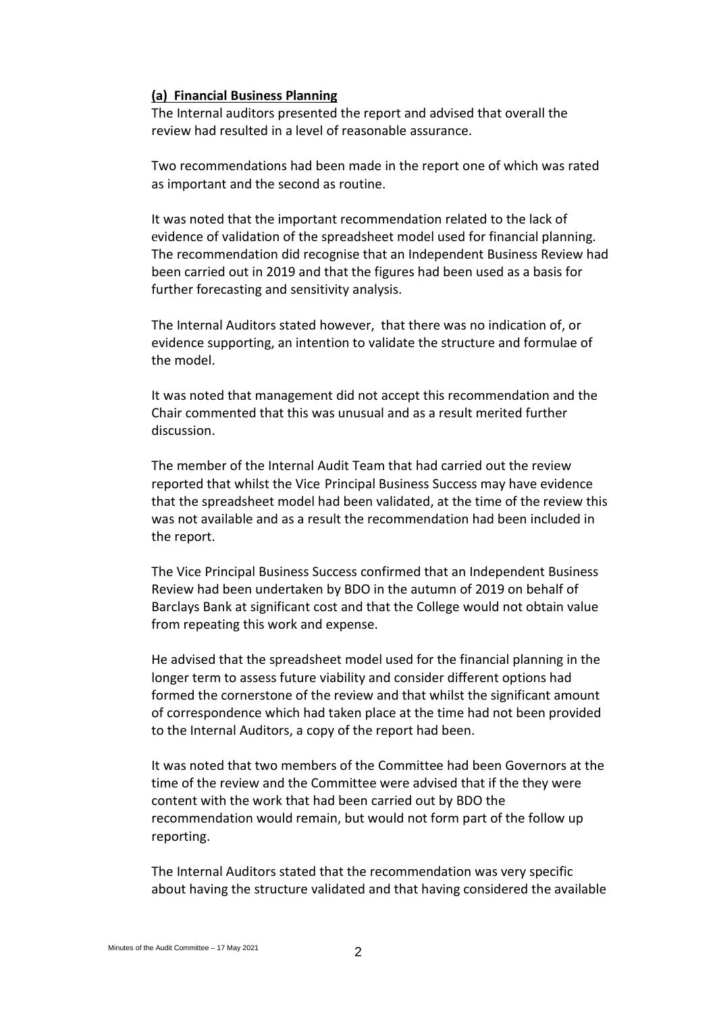## **(a) Financial Business Planning**

The Internal auditors presented the report and advised that overall the review had resulted in a level of reasonable assurance.

Two recommendations had been made in the report one of which was rated as important and the second as routine.

It was noted that the important recommendation related to the lack of evidence of validation of the spreadsheet model used for financial planning. The recommendation did recognise that an Independent Business Review had been carried out in 2019 and that the figures had been used as a basis for further forecasting and sensitivity analysis.

The Internal Auditors stated however, that there was no indication of, or evidence supporting, an intention to validate the structure and formulae of the model.

It was noted that management did not accept this recommendation and the Chair commented that this was unusual and as a result merited further discussion.

The member of the Internal Audit Team that had carried out the review reported that whilst the Vice Principal Business Success may have evidence that the spreadsheet model had been validated, at the time of the review this was not available and as a result the recommendation had been included in the report.

The Vice Principal Business Success confirmed that an Independent Business Review had been undertaken by BDO in the autumn of 2019 on behalf of Barclays Bank at significant cost and that the College would not obtain value from repeating this work and expense.

He advised that the spreadsheet model used for the financial planning in the longer term to assess future viability and consider different options had formed the cornerstone of the review and that whilst the significant amount of correspondence which had taken place at the time had not been provided to the Internal Auditors, a copy of the report had been.

It was noted that two members of the Committee had been Governors at the time of the review and the Committee were advised that if the they were content with the work that had been carried out by BDO the recommendation would remain, but would not form part of the follow up reporting.

The Internal Auditors stated that the recommendation was very specific about having the structure validated and that having considered the available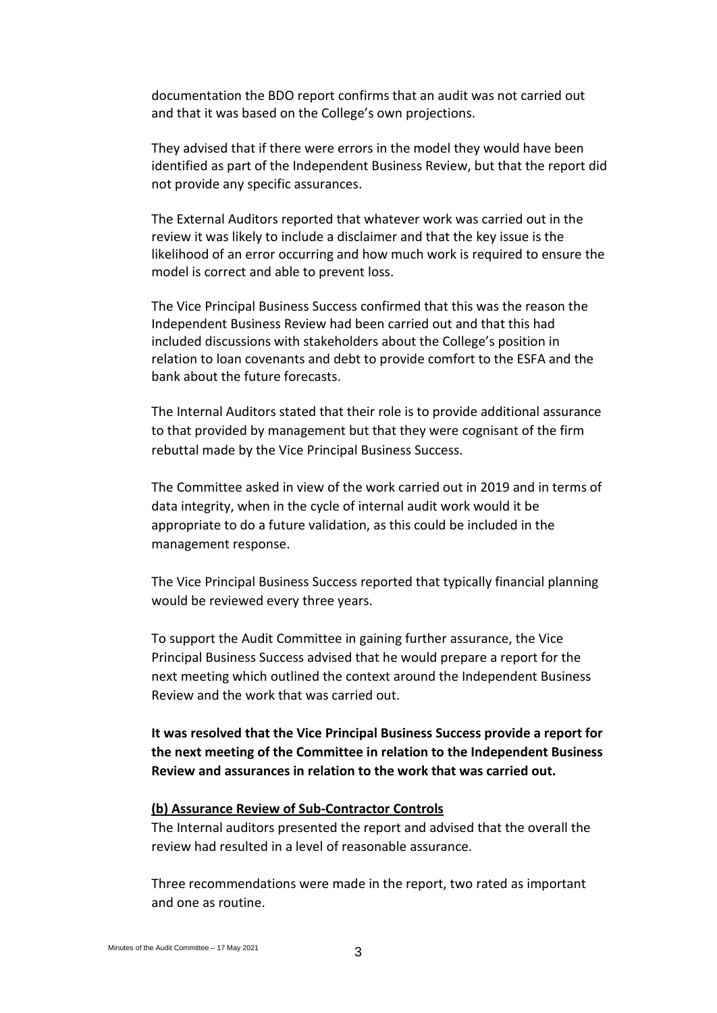documentation the BDO report confirms that an audit was not carried out and that it was based on the College's own projections.

They advised that if there were errors in the model they would have been identified as part of the Independent Business Review, but that the report did not provide any specific assurances.

The External Auditors reported that whatever work was carried out in the review it was likely to include a disclaimer and that the key issue is the likelihood of an error occurring and how much work is required to ensure the model is correct and able to prevent loss.

The Vice Principal Business Success confirmed that this was the reason the Independent Business Review had been carried out and that this had included discussions with stakeholders about the College's position in relation to loan covenants and debt to provide comfort to the ESFA and the bank about the future forecasts.

The Internal Auditors stated that their role is to provide additional assurance to that provided by management but that they were cognisant of the firm rebuttal made by the Vice Principal Business Success.

The Committee asked in view of the work carried out in 2019 and in terms of data integrity, when in the cycle of internal audit work would it be appropriate to do a future validation, as this could be included in the management response.

The Vice Principal Business Success reported that typically financial planning would be reviewed every three years.

To support the Audit Committee in gaining further assurance, the Vice Principal Business Success advised that he would prepare a report for the next meeting which outlined the context around the Independent Business Review and the work that was carried out.

**It was resolved that the Vice Principal Business Success provide a report for the next meeting of the Committee in relation to the Independent Business Review and assurances in relation to the work that was carried out.**

## **(b) Assurance Review of Sub-Contractor Controls**

The Internal auditors presented the report and advised that the overall the review had resulted in a level of reasonable assurance.

Three recommendations were made in the report, two rated as important and one as routine.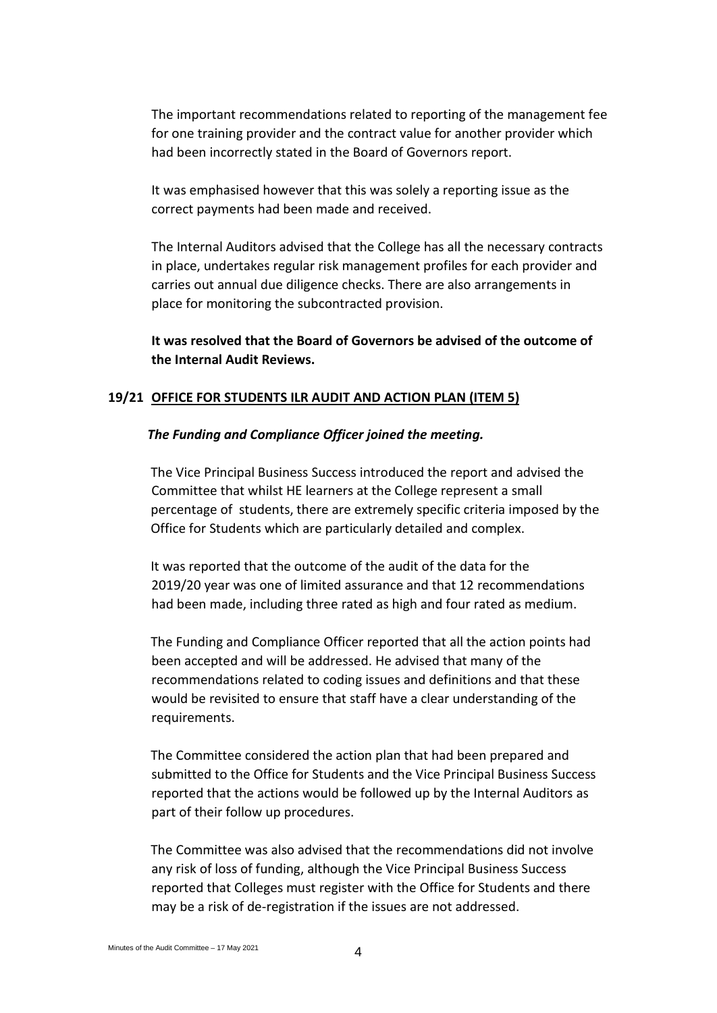The important recommendations related to reporting of the management fee for one training provider and the contract value for another provider which had been incorrectly stated in the Board of Governors report.

It was emphasised however that this was solely a reporting issue as the correct payments had been made and received.

The Internal Auditors advised that the College has all the necessary contracts in place, undertakes regular risk management profiles for each provider and carries out annual due diligence checks. There are also arrangements in place for monitoring the subcontracted provision.

**It was resolved that the Board of Governors be advised of the outcome of the Internal Audit Reviews.**

#### **19/21 OFFICE FOR STUDENTS ILR AUDIT AND ACTION PLAN (ITEM 5)**

#### *The Funding and Compliance Officer joined the meeting.*

The Vice Principal Business Success introduced the report and advised the Committee that whilst HE learners at the College represent a small percentage of students, there are extremely specific criteria imposed by the Office for Students which are particularly detailed and complex.

It was reported that the outcome of the audit of the data for the 2019/20 year was one of limited assurance and that 12 recommendations had been made, including three rated as high and four rated as medium.

The Funding and Compliance Officer reported that all the action points had been accepted and will be addressed. He advised that many of the recommendations related to coding issues and definitions and that these would be revisited to ensure that staff have a clear understanding of the requirements.

The Committee considered the action plan that had been prepared and submitted to the Office for Students and the Vice Principal Business Success reported that the actions would be followed up by the Internal Auditors as part of their follow up procedures.

The Committee was also advised that the recommendations did not involve any risk of loss of funding, although the Vice Principal Business Success reported that Colleges must register with the Office for Students and there may be a risk of de-registration if the issues are not addressed.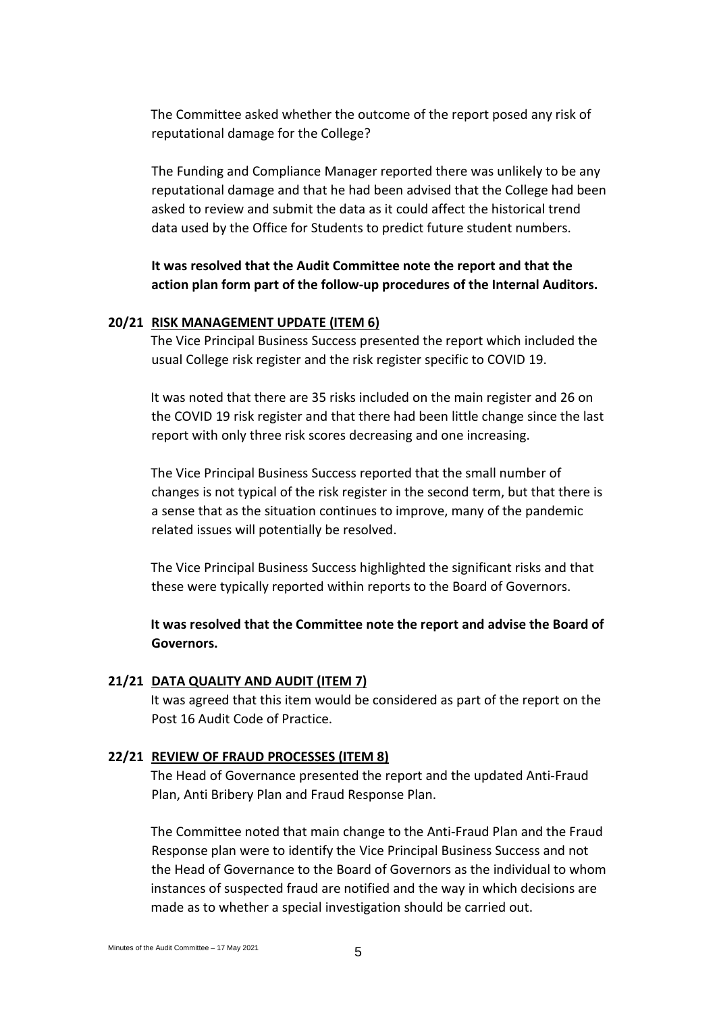The Committee asked whether the outcome of the report posed any risk of reputational damage for the College?

The Funding and Compliance Manager reported there was unlikely to be any reputational damage and that he had been advised that the College had been asked to review and submit the data as it could affect the historical trend data used by the Office for Students to predict future student numbers.

**It was resolved that the Audit Committee note the report and that the action plan form part of the follow-up procedures of the Internal Auditors.**

## **20/21 RISK MANAGEMENT UPDATE (ITEM 6)**

The Vice Principal Business Success presented the report which included the usual College risk register and the risk register specific to COVID 19.

It was noted that there are 35 risks included on the main register and 26 on the COVID 19 risk register and that there had been little change since the last report with only three risk scores decreasing and one increasing.

The Vice Principal Business Success reported that the small number of changes is not typical of the risk register in the second term, but that there is a sense that as the situation continues to improve, many of the pandemic related issues will potentially be resolved.

The Vice Principal Business Success highlighted the significant risks and that these were typically reported within reports to the Board of Governors.

**It was resolved that the Committee note the report and advise the Board of Governors.**

## **21/21 DATA QUALITY AND AUDIT (ITEM 7)**

It was agreed that this item would be considered as part of the report on the Post 16 Audit Code of Practice.

## **22/21 REVIEW OF FRAUD PROCESSES (ITEM 8)**

The Head of Governance presented the report and the updated Anti-Fraud Plan, Anti Bribery Plan and Fraud Response Plan.

The Committee noted that main change to the Anti-Fraud Plan and the Fraud Response plan were to identify the Vice Principal Business Success and not the Head of Governance to the Board of Governors as the individual to whom instances of suspected fraud are notified and the way in which decisions are made as to whether a special investigation should be carried out.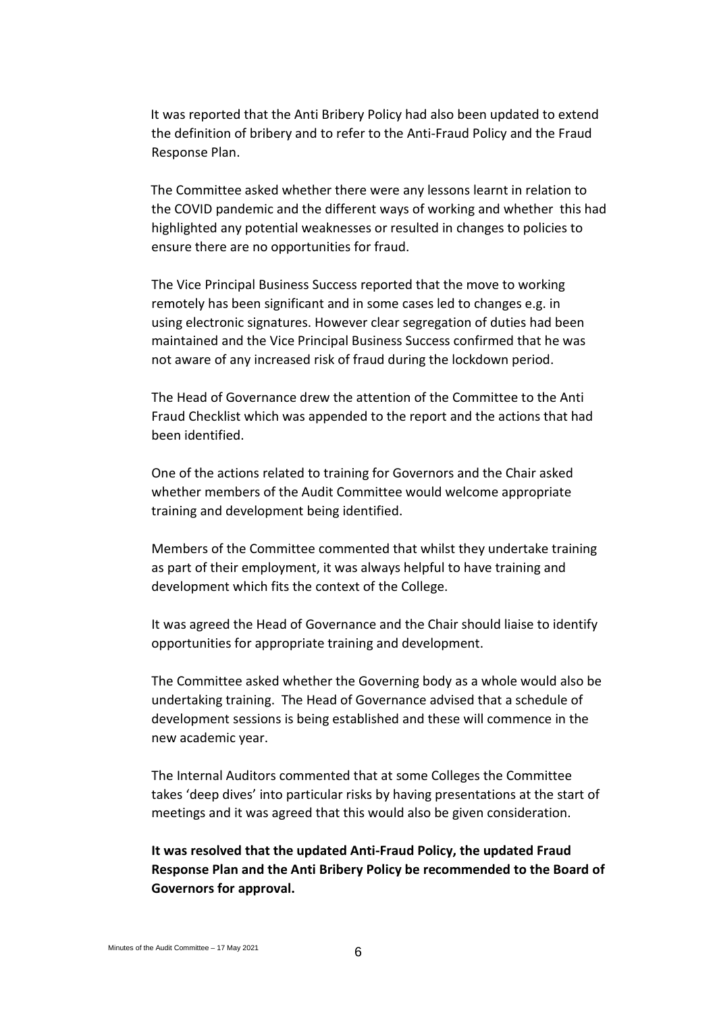It was reported that the Anti Bribery Policy had also been updated to extend the definition of bribery and to refer to the Anti-Fraud Policy and the Fraud Response Plan.

The Committee asked whether there were any lessons learnt in relation to the COVID pandemic and the different ways of working and whether this had highlighted any potential weaknesses or resulted in changes to policies to ensure there are no opportunities for fraud.

The Vice Principal Business Success reported that the move to working remotely has been significant and in some cases led to changes e.g. in using electronic signatures. However clear segregation of duties had been maintained and the Vice Principal Business Success confirmed that he was not aware of any increased risk of fraud during the lockdown period.

The Head of Governance drew the attention of the Committee to the Anti Fraud Checklist which was appended to the report and the actions that had been identified.

One of the actions related to training for Governors and the Chair asked whether members of the Audit Committee would welcome appropriate training and development being identified.

Members of the Committee commented that whilst they undertake training as part of their employment, it was always helpful to have training and development which fits the context of the College.

It was agreed the Head of Governance and the Chair should liaise to identify opportunities for appropriate training and development.

The Committee asked whether the Governing body as a whole would also be undertaking training. The Head of Governance advised that a schedule of development sessions is being established and these will commence in the new academic year.

The Internal Auditors commented that at some Colleges the Committee takes 'deep dives' into particular risks by having presentations at the start of meetings and it was agreed that this would also be given consideration.

**It was resolved that the updated Anti-Fraud Policy, the updated Fraud Response Plan and the Anti Bribery Policy be recommended to the Board of Governors for approval.**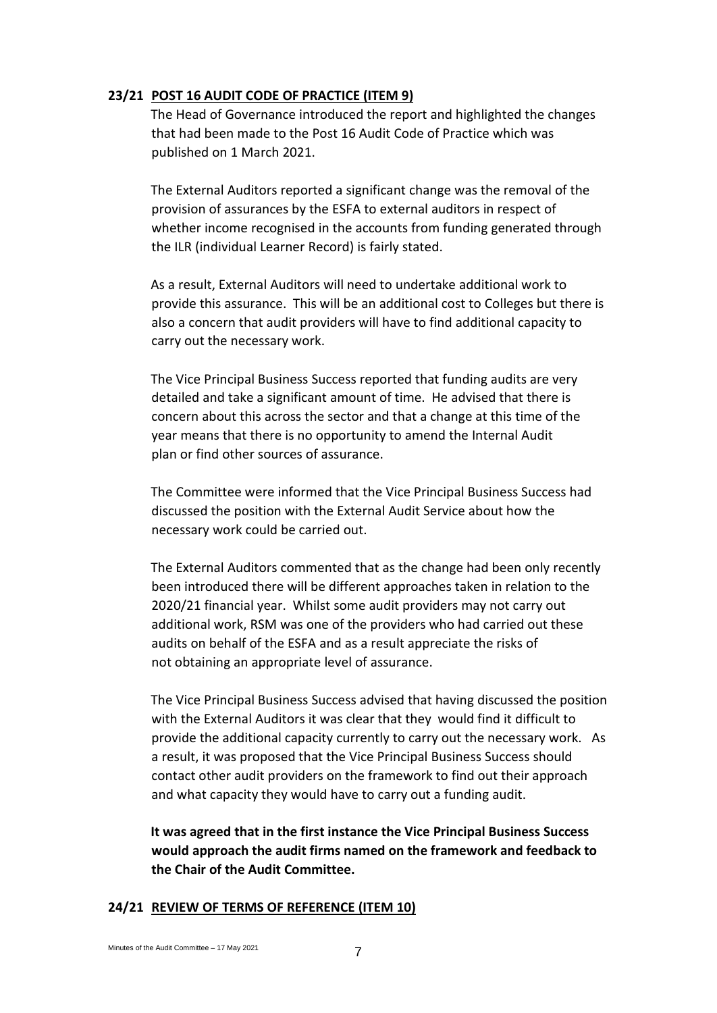## **23/21 POST 16 AUDIT CODE OF PRACTICE (ITEM 9)**

The Head of Governance introduced the report and highlighted the changes that had been made to the Post 16 Audit Code of Practice which was published on 1 March 2021.

The External Auditors reported a significant change was the removal of the provision of assurances by the ESFA to external auditors in respect of whether income recognised in the accounts from funding generated through the ILR (individual Learner Record) is fairly stated.

As a result, External Auditors will need to undertake additional work to provide this assurance. This will be an additional cost to Colleges but there is also a concern that audit providers will have to find additional capacity to carry out the necessary work.

The Vice Principal Business Success reported that funding audits are very detailed and take a significant amount of time. He advised that there is concern about this across the sector and that a change at this time of the year means that there is no opportunity to amend the Internal Audit plan or find other sources of assurance.

The Committee were informed that the Vice Principal Business Success had discussed the position with the External Audit Service about how the necessary work could be carried out.

The External Auditors commented that as the change had been only recently been introduced there will be different approaches taken in relation to the 2020/21 financial year. Whilst some audit providers may not carry out additional work, RSM was one of the providers who had carried out these audits on behalf of the ESFA and as a result appreciate the risks of not obtaining an appropriate level of assurance.

The Vice Principal Business Success advised that having discussed the position with the External Auditors it was clear that they would find it difficult to provide the additional capacity currently to carry out the necessary work. As a result, it was proposed that the Vice Principal Business Success should contact other audit providers on the framework to find out their approach and what capacity they would have to carry out a funding audit.

**It was agreed that in the first instance the Vice Principal Business Success would approach the audit firms named on the framework and feedback to the Chair of the Audit Committee.**

#### **24/21 REVIEW OF TERMS OF REFERENCE (ITEM 10)**